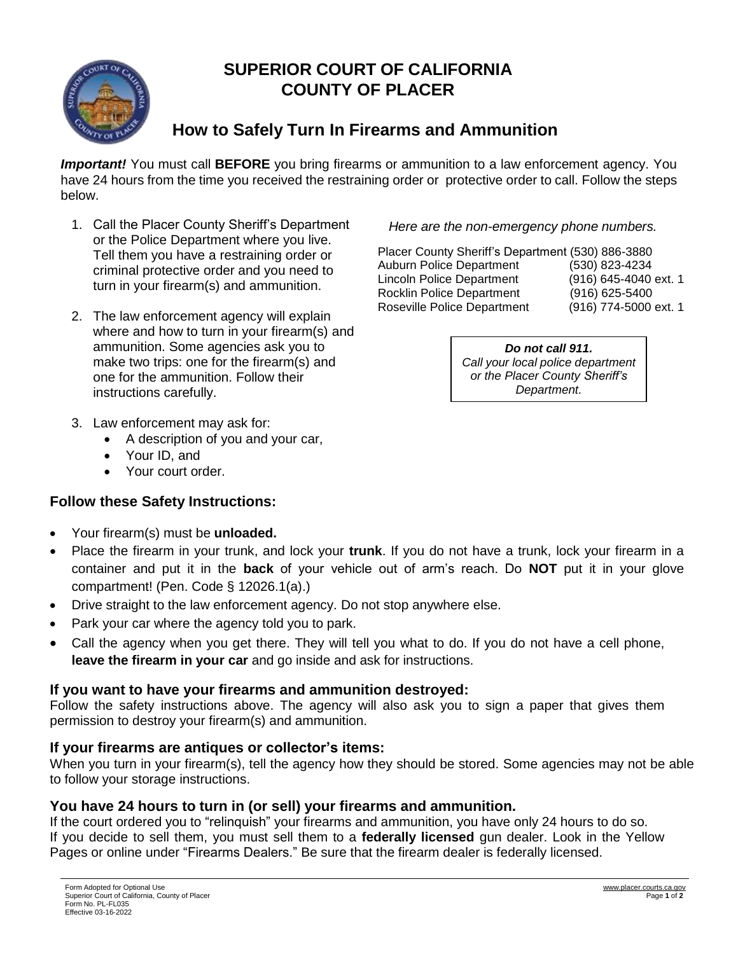

# **SUPERIOR COURT OF CALIFORNIA COUNTY OF PLACER**

# **How to Safely Turn In Firearms and Ammunition**

*Important!* You must call **BEFORE** you bring firearms or ammunition to a law enforcement agency. You have 24 hours from the time you received the restraining order or protective order to call. Follow the steps below.

- 1. Call the Placer County Sheriff's Department or the Police Department where you live. Tell them you have a restraining order or criminal protective order and you need to turn in your firearm(s) and ammunition.
- 2. The law enforcement agency will explain where and how to turn in your firearm(s) and ammunition. Some agencies ask you to make two trips: one for the firearm(s) and one for the ammunition. Follow their instructions carefully.
- 3. Law enforcement may ask for:
	- A description of you and your car,
	- Your ID, and
	- Your court order.

## **Follow these Safety Instructions:**

- Your firearm(s) must be **unloaded.**
- Place the firearm in your trunk, and lock your **trunk**. If you do not have a trunk, lock your firearm in a container and put it in the **back** of your vehicle out of arm's reach. Do **NOT** put it in your glove compartment! (Pen. Code § 12026.1(a).)
- Drive straight to the law enforcement agency. Do not stop anywhere else.
- Park your car where the agency told you to park.
- Call the agency when you get there. They will tell you what to do. If you do not have a cell phone, **leave the firearm in your car** and go inside and ask for instructions.

## **If you want to have your firearms and ammunition destroyed:**

Follow the safety instructions above. The agency will also ask you to sign a paper that gives them permission to destroy your firearm(s) and ammunition.

## **If your firearms are antiques or collector's items:**

When you turn in your firearm(s), tell the agency how they should be stored. Some agencies may not be able to follow your storage instructions.

## **You have 24 hours to turn in (or sell) your firearms and ammunition.**

If the court ordered you to "relinquish" your firearms and ammunition, you have only 24 hours to do so. If you decide to sell them, you must sell them to a **federally licensed** gun dealer. Look in the Yellow Pages or online under "Firearms Dealers." Be sure that the firearm dealer is federally licensed.

*Here are the non-emergency phone numbers.*

Placer County Sheriff's Department (530) 886-3880 Auburn Police Department (530) 823-4234 Lincoln Police Department (916) 645-4040 ext. 1 Rocklin Police Department (916) 625-5400 Roseville Police Department (916) 774-5000 ext. 1

> *Do not call 911. Call your local police department or the Placer County Sheriff's Department.*